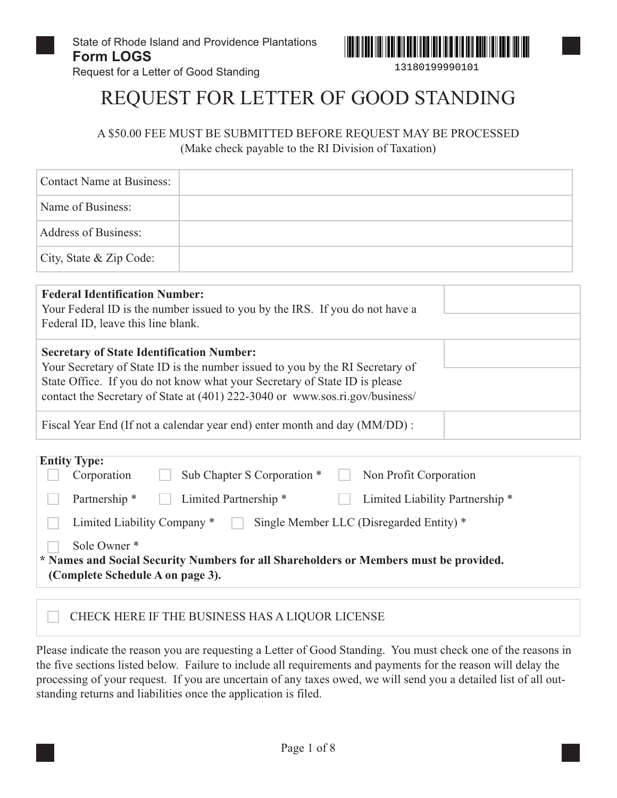Request for a Letter of Good Standing



13180199990101

## REQUEST FOR LETTER OF GOOD STANDING

A \$50.00 FEE MUST BE SUBMITTED BEFORE REQUEST MAY BE PROCESSED (Make check payable to the RI Division of Taxation)

| <b>Contact Name at Business:</b>                                            |                                                                                                                                                                                                                                             |  |
|-----------------------------------------------------------------------------|---------------------------------------------------------------------------------------------------------------------------------------------------------------------------------------------------------------------------------------------|--|
| Name of Business:                                                           |                                                                                                                                                                                                                                             |  |
| <b>Address of Business:</b>                                                 |                                                                                                                                                                                                                                             |  |
| City, State & Zip Code:                                                     |                                                                                                                                                                                                                                             |  |
| <b>Federal Identification Number:</b><br>Federal ID, leave this line blank. | Your Federal ID is the number issued to you by the IRS. If you do not have a                                                                                                                                                                |  |
| <b>Secretary of State Identification Number:</b>                            | Your Secretary of State ID is the number issued to you by the RI Secretary of<br>State Office. If you do not know what your Secretary of State ID is please<br>contact the Secretary of State at (401) 222-3040 or www.sos.ri.gov/business/ |  |
|                                                                             | Fiscal Year End (If not a calendar year end) enter month and day (MM/DD):                                                                                                                                                                   |  |

| <b>Entity Type:</b>                              |                                                                                       |  |
|--------------------------------------------------|---------------------------------------------------------------------------------------|--|
| Corporation                                      | Sub Chapter S Corporation *<br>Non Profit Corporation                                 |  |
| Partnership *                                    | Limited Partnership <sup>*</sup><br>Limited Liability Partnership <sup>*</sup>        |  |
| Limited Liability Company *                      | Single Member LLC (Disregarded Entity) *                                              |  |
| Sole Owner *<br>(Complete Schedule A on page 3). | * Names and Social Security Numbers for all Shareholders or Members must be provided. |  |

#### CHECK HERE IF THE BUSINESS HAS A LIQUOR LICENSE

Please indicate the reason you are requesting a Letter of Good Standing. You must check one of the reasons in the five sections listed below. Failure to include all requirements and payments for the reason will delay the processing of your request. If you are uncertain of any taxes owed, we will send you a detailed list of all outstanding returns and liabilities once the application is filed.

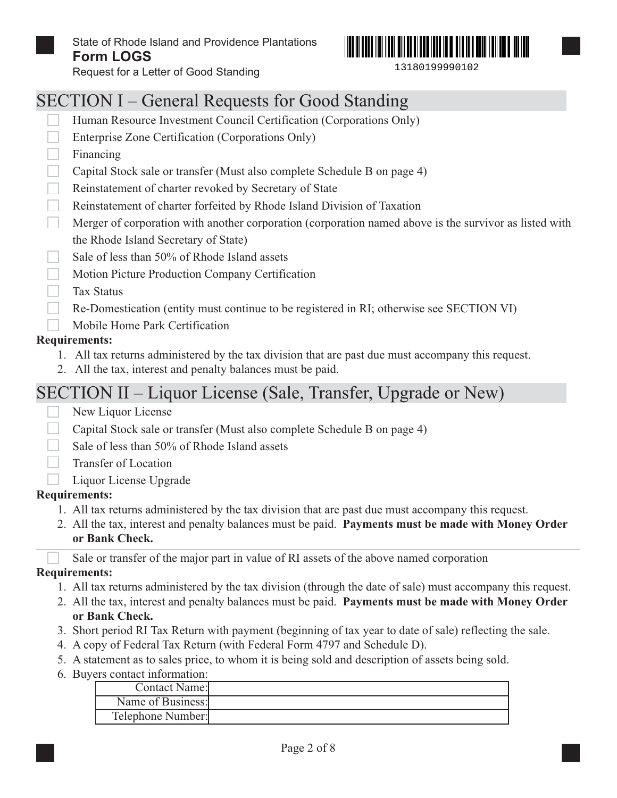



Request for a Letter of Good Standing

## SECTION I – General Requests for Good Standing

- Human Resource Investment Council Certification (Corporations Only)
- $\Box$ Enterprise Zone Certification (Corporations Only)
- Financing
- Capital Stock sale or transfer (Must also complete Schedule B on page 4)
- Reinstatement of charter revoked by Secretary of State
- Reinstatement of charter forfeited by Rhode Island Division of Taxation
- Merger of corporation with another corporation (corporation named above is the survivor as listed with the Rhode Island Secretary of State)
- Sale of less than 50% of Rhode Island assets
- Motion Picture Production Company Certification
- Tax Status
- $\Box$ Re-Domestication (entity must continue to be registered in RI; otherwise see SECTION VI)
	- Mobile Home Park Certification

#### **Requirements:**

- 1. All tax returns administered by the tax division that are past due must accompany this request.
- 2. All the tax, interest and penalty balances must be paid.

### SECTION II – Liquor License (Sale, Transfer, Upgrade or New)

- New Liquor License
- Capital Stock sale or transfer (Must also complete Schedule B on page 4)
- Sale of less than 50% of Rhode Island assets
- Transfer of Location
- Liquor License Upgrade

#### **Requirements:**

- 1. All tax returns administered by the tax division that are past due must accompany this request.
- 2. All the tax, interest and penalty balances must be paid. **Payments must be made with Money Order or Bank Check.**

Sale or transfer of the major part in value of RI assets of the above named corporation

#### **Requirements:**

- 1. All tax returns administered by the tax division (through the date of sale) must accompany this request.
- 2. All the tax, interest and penalty balances must be paid. **Payments must be made with Money Order or Bank Check.**
- 3. Short period RI Tax Return with payment (beginning of tax year to date of sale) reflecting the sale.
- 4. A copy of Federal Tax Return (with Federal Form 4797 and Schedule D).
- 5. A statement as to sales price, to whom it is being sold and description of assets being sold.
- 6. Buyers contact information:

| Contact Name:     |  |
|-------------------|--|
| Name of Business: |  |
| Telephone Number: |  |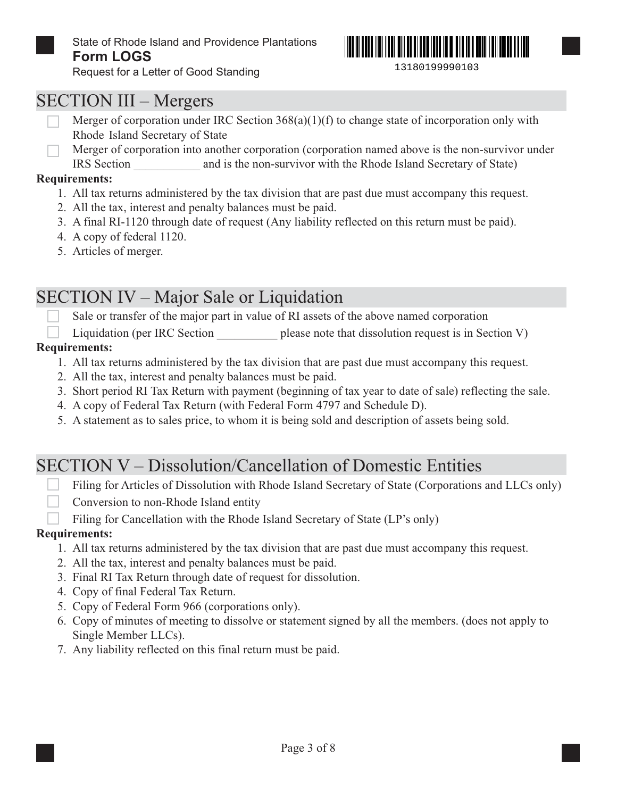

State of Rhode Island and Providence Plantations **Form LOGS**



Request for a Letter of Good Standing

### SECTION III – Mergers

- Merger of corporation under IRC Section 368(a)(1)(f) to change state of incorporation only with Rhode Island Secretary of State
- Merger of corporation into another corporation (corporation named above is the non-survivor under IRS Section \_\_\_\_\_\_\_\_\_\_\_ and is the non-survivor with the Rhode Island Secretary of State)

#### **Requirements:**

- 1. All tax returns administered by the tax division that are past due must accompany this request.
- 2. All the tax, interest and penalty balances must be paid.
- 3. A final RI-1120 through date of request (Any liability reflected on this return must be paid).
- 4. A copy of federal 1120.
- 5. Articles of merger.

## SECTION IV – Major Sale or Liquidation

Sale or transfer of the major part in value of RI assets of the above named corporation

Liquidation (per IRC Section please note that dissolution request is in Section V)

#### **Requirements:**

- 1. All tax returns administered by the tax division that are past due must accompany this request.
- 2. All the tax, interest and penalty balances must be paid.
- 3. Short period RI Tax Return with payment (beginning of tax year to date of sale) reflecting the sale.
- 4. A copy of Federal Tax Return (with Federal Form 4797 and Schedule D).
- 5. A statement as to sales price, to whom it is being sold and description of assets being sold.

## SECTION V – Dissolution/Cancellation of Domestic Entities

- Filing for Articles of Dissolution with Rhode Island Secretary of State (Corporations and LLCs only)
- Conversion to non-Rhode Island entity
- Filing for Cancellation with the Rhode Island Secretary of State (LP's only)

#### **Requirements:**

- 1. All tax returns administered by the tax division that are past due must accompany this request.
- 2. All the tax, interest and penalty balances must be paid.
- 3. Final RI Tax Return through date of request for dissolution.
- 4. Copy of final Federal Tax Return.
- 5. Copy of Federal Form 966 (corporations only).
- 6. Copy of minutes of meeting to dissolve or statement signed by all the members. (does not apply to Single Member LLCs).
- 7. Any liability reflected on this final return must be paid.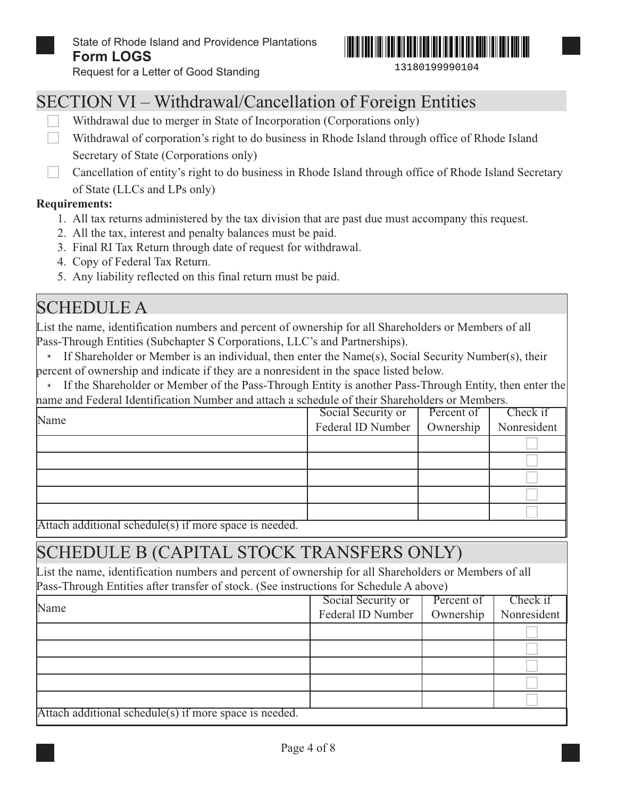Request for a Letter of Good Standing



13180199990104

### SECTION VI – Withdrawal/Cancellation of Foreign Entities

- Withdrawal due to merger in State of Incorporation (Corporations only)
- Withdrawal of corporation's right to do business in Rhode Island through office of Rhode Island Secretary of State (Corporations only)
- Cancellation of entity's right to do business in Rhode Island through office of Rhode Island Secretary of State (LLCs and LPs only)

#### **Requirements:**

- 1. All tax returns administered by the tax division that are past due must accompany this request.
- 2. All the tax, interest and penalty balances must be paid.
- 3. Final RI Tax Return through date of request for withdrawal.
- 4. Copy of Federal Tax Return.
- 5. Any liability reflected on this final return must be paid.

## SCHEDULE A

List the name, identification numbers and percent of ownership for all Shareholders or Members of all Pass-Through Entities (Subchapter S Corporations, LLC's and Partnerships).

If Shareholder or Member is an individual, then enter the Name(s), Social Security Number(s), their  $\mathbf{E}$ percent of ownership and indicate if they are a nonresident in the space listed below.

If the Shareholder or Member of the Pass-Through Entity is another Pass-Through Entity, then enter the name and Federal Identification Number and attach a schedule of their Shareholders or Members.

| Name           | Social Security or | Percent of | Check if    |
|----------------|--------------------|------------|-------------|
|                | Federal ID Number  | Ownership  | Nonresident |
|                |                    |            |             |
|                |                    |            |             |
|                |                    |            |             |
|                |                    |            |             |
| $\cdot$ $\sim$ |                    |            |             |

Attach additional schedule(s) if more space is needed.

## SCHEDULE B (CAPITAL STOCK TRANSFERS ONLY)

List the name, identification numbers and percent of ownership for all Shareholders or Members of all Pass-Through Entities after transfer of stock. (See instructions for Schedule A above)

|                                                        | Social Security or | Percent of | Check if    |
|--------------------------------------------------------|--------------------|------------|-------------|
| Name                                                   | Federal ID Number  | Ownership  | Nonresident |
|                                                        |                    |            |             |
|                                                        |                    |            |             |
|                                                        |                    |            |             |
|                                                        |                    |            |             |
|                                                        |                    |            |             |
| Attach additional schedule(s) if more space is needed. |                    |            |             |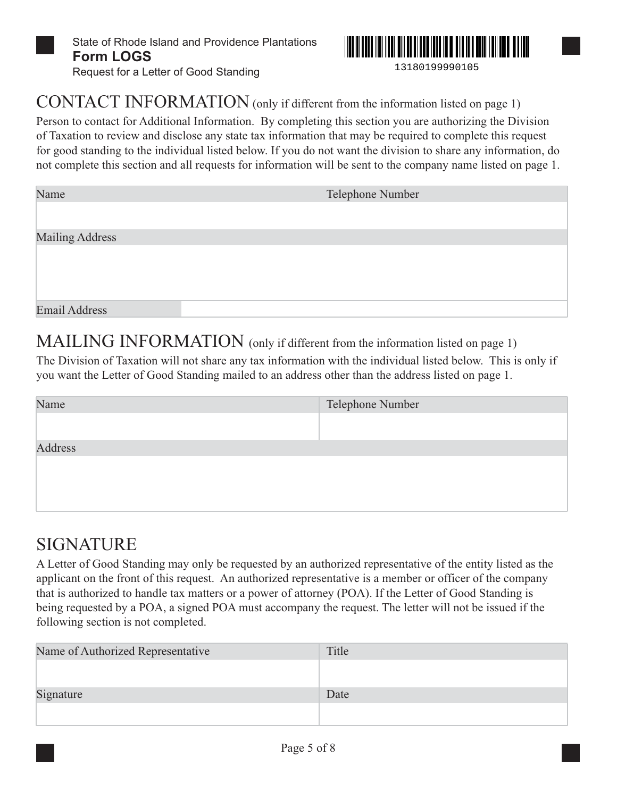

State of Rhode Island and Providence Plantations **Form LOGS** Request for a Letter of Good Standing



### CONTACT INFORMATION (only if different from the information listed on page 1)

Person to contact for Additional Information. By completing this section you are authorizing the Division of Taxation to review and disclose any state tax information that may be required to complete this request for good standing to the individual listed below. If you do not want the division to share any information, do not complete this section and all requests for information will be sent to the company name listed on page 1.

| Telephone Number |
|------------------|
|                  |
|                  |
|                  |
|                  |
|                  |
|                  |
|                  |

MAILING INFORMATION (only if different from the information listed on page 1)

The Division of Taxation will not share any tax information with the individual listed below. This is only if you want the Letter of Good Standing mailed to an address other than the address listed on page 1.

| Name    | Telephone Number |
|---------|------------------|
|         |                  |
| Address |                  |
|         |                  |
|         |                  |
|         |                  |
|         |                  |

## **SIGNATURE**

A Letter of Good Standing may only be requested by an authorized representative of the entity listed as the applicant on the front of this request. An authorized representative is a member or officer of the company that is authorized to handle tax matters or a power of attorney (POA). If the Letter of Good Standing is being requested by a POA, a signed POA must accompany the request. The letter will not be issued if the following section is not completed.

| Title |
|-------|
|       |
| Date  |
|       |
|       |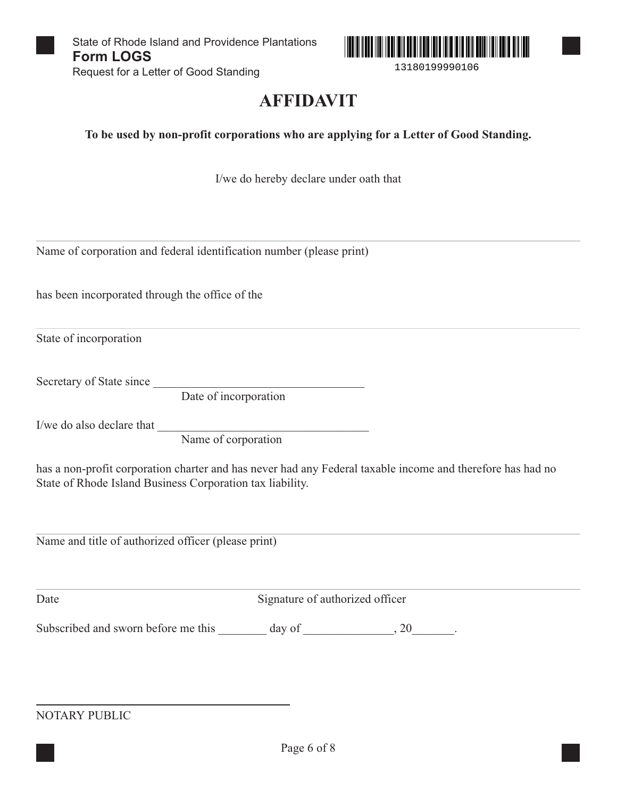

13180199990106

## **AFFIDAVIT**

**To be used by non-profit corporations who are applying for a Letter of Good Standing.**

I/we do hereby declare under oath that

Name of corporation and federal identification number (please print)

has been incorporated through the office of the

State of incorporation

Secretary of State since

Date of incorporation

I/we do also declare that \_\_\_\_\_\_\_\_\_\_\_\_\_\_\_\_\_\_\_\_\_\_\_\_\_\_\_\_\_\_\_\_\_\_\_

Name of corporation

has a non-profit corporation charter and has never had any Federal taxable income and therefore has had no State of Rhode Island Business Corporation tax liability.

Name and title of authorized officer (please print)

Date Signature of authorized officer

Subscribed and sworn before me this \_\_\_\_\_\_\_ day of \_\_\_\_\_\_\_\_\_\_\_\_, 20\_\_\_\_\_\_.

NOTARY PUBLIC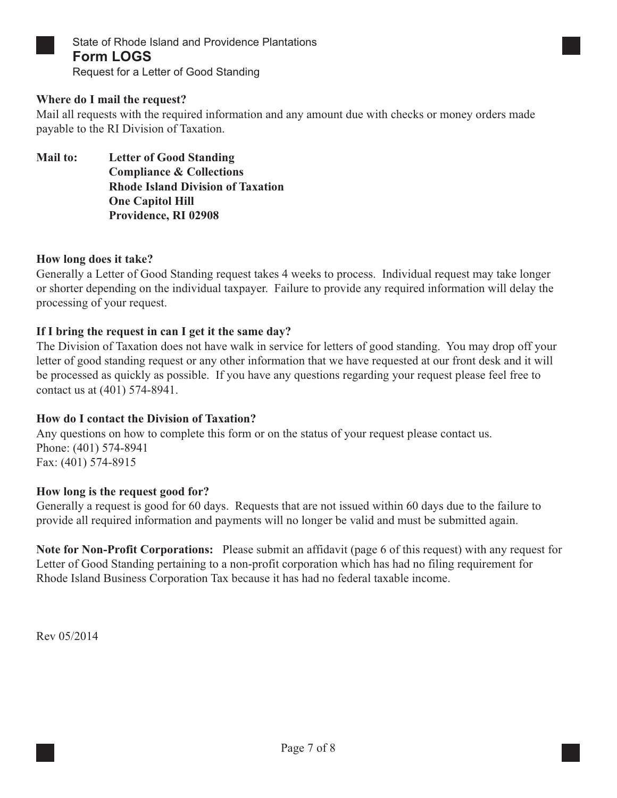

State of Rhode Island and Providence Plantations **Form LOGS**

Request for a Letter of Good Standing

#### **Where do I mail the request?**

Mail all requests with the required information and any amount due with checks or money orders made payable to the RI Division of Taxation.

**Mail to: Letter of Good Standing Compliance & Collections Rhode Island Division of Taxation One Capitol Hill Providence, RI 02908**

#### **How long does it take?**

Generally a Letter of Good Standing request takes 4 weeks to process. Individual request may take longer or shorter depending on the individual taxpayer. Failure to provide any required information will delay the processing of your request.

#### **If I bring the request in can I get it the same day?**

The Division of Taxation does not have walk in service for letters of good standing. You may drop off your letter of good standing request or any other information that we have requested at our front desk and it will be processed as quickly as possible. If you have any questions regarding your request please feel free to contact us at (401) 574-8941.

#### **How do I contact the Division of Taxation?**

Any questions on how to complete this form or on the status of your request please contact us. Phone: (401) 574-8941 Fax: (401) 574-8915

#### **How long is the request good for?**

Generally a request is good for 60 days. Requests that are not issued within 60 days due to the failure to provide all required information and payments will no longer be valid and must be submitted again.

**Note for Non-Profit Corporations:** Please submit an affidavit (page 6 of this request) with any request for Letter of Good Standing pertaining to a non-profit corporation which has had no filing requirement for Rhode Island Business Corporation Tax because it has had no federal taxable income.

Rev 05/2014